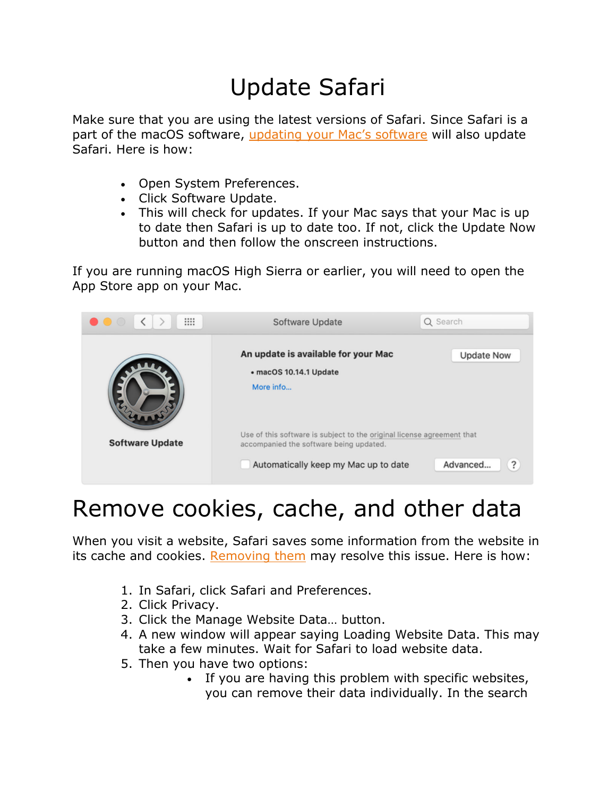## Update Safari

Make sure that you are using the latest versions of Safari. Since Safari is a part of the macOS software, [updating your Mac's software](https://macreports.com/how-to-keep-your-mac-up-to-date/) will also update Safari. Here is how:

- Open System Preferences.
- Click Software Update.
- This will check for updates. If your Mac says that your Mac is up to date then Safari is up to date too. If not, click the Update Now button and then follow the onscreen instructions.

If you are running macOS High Sierra or earlier, you will need to open the App Store app on your Mac.



## Remove cookies, cache, and other data

When you visit a website, Safari saves some information from the website in its cache and cookies. [Removing them](https://macreports.com/how-to-clear-the-browser-cache-in-safari-on-mac/) may resolve this issue. Here is how:

- 1. In Safari, click Safari and Preferences.
- 2. Click Privacy.
- 3. Click the Manage Website Data… button.
- 4. A new window will appear saying Loading Website Data. This may take a few minutes. Wait for Safari to load website data.
- 5. Then you have two options:
	- If you are having this problem with specific websites, you can remove their data individually. In the search